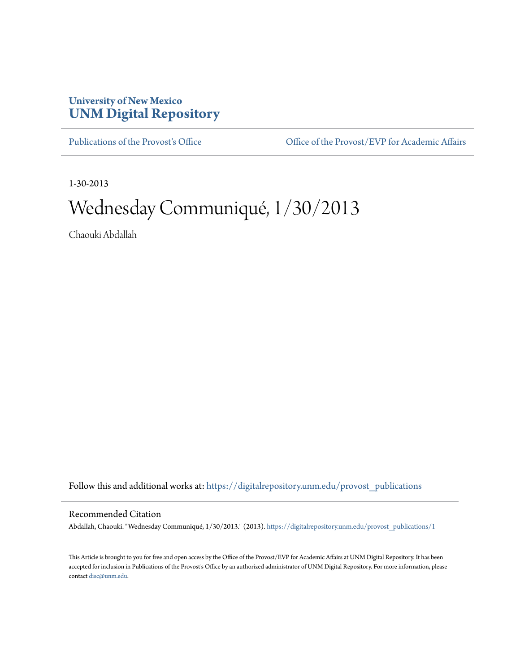## **University of New Mexico [UNM Digital Repository](https://digitalrepository.unm.edu?utm_source=digitalrepository.unm.edu%2Fprovost_publications%2F1&utm_medium=PDF&utm_campaign=PDFCoverPages)**

[Publications of the Provost's Office](https://digitalrepository.unm.edu/provost_publications?utm_source=digitalrepository.unm.edu%2Fprovost_publications%2F1&utm_medium=PDF&utm_campaign=PDFCoverPages) Office [Office of the Provost/EVP for Academic Affairs](https://digitalrepository.unm.edu/ofc_provost?utm_source=digitalrepository.unm.edu%2Fprovost_publications%2F1&utm_medium=PDF&utm_campaign=PDFCoverPages)

1-30-2013

## Wednesday Communiqué, 1/30/2013

Chaouki Abdallah

Follow this and additional works at: [https://digitalrepository.unm.edu/provost\\_publications](https://digitalrepository.unm.edu/provost_publications?utm_source=digitalrepository.unm.edu%2Fprovost_publications%2F1&utm_medium=PDF&utm_campaign=PDFCoverPages)

## Recommended Citation

Abdallah, Chaouki. "Wednesday Communiqué, 1/30/2013." (2013). [https://digitalrepository.unm.edu/provost\\_publications/1](https://digitalrepository.unm.edu/provost_publications/1?utm_source=digitalrepository.unm.edu%2Fprovost_publications%2F1&utm_medium=PDF&utm_campaign=PDFCoverPages)

This Article is brought to you for free and open access by the Office of the Provost/EVP for Academic Affairs at UNM Digital Repository. It has been accepted for inclusion in Publications of the Provost's Office by an authorized administrator of UNM Digital Repository. For more information, please contact [disc@unm.edu.](mailto:disc@unm.edu)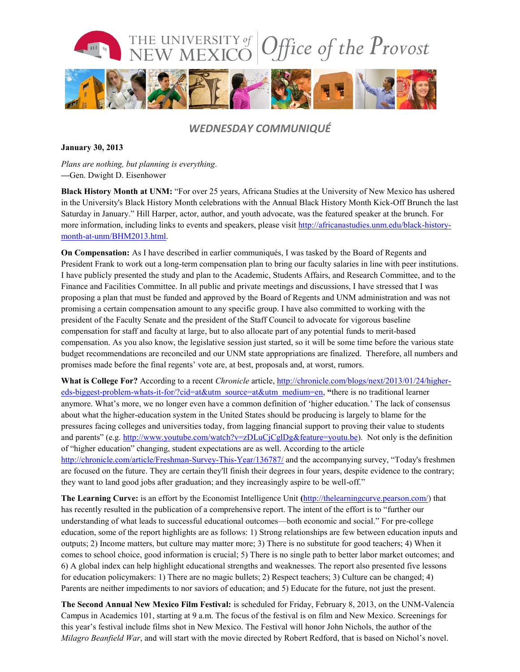

## *WEDNESDAY COMMUNIQUÉ*

**January 30, 2013**

*Plans are nothing, but planning is everything.* **—**Gen. Dwight D. Eisenhower

**Black History Month at UNM:** "For over 25 years, Africana Studies at the University of New Mexico has ushered in the University's Black History Month celebrations with the Annual Black History Month Kick-Off Brunch the last Saturday in January." Hill Harper, actor, author, and youth advocate, was the featured speaker at the brunch. For more information, including links to events and speakers, please visit [http://africanastudies.unm.edu/black-history](http://africanastudies.unm.edu/black-history-month-at-unm/BHM2013.html)[month-at-unm/BHM2013.html.](http://africanastudies.unm.edu/black-history-month-at-unm/BHM2013.html)

**On Compensation:** As I have described in earlier communiqués, I was tasked by the Board of Regents and President Frank to work out a long-term compensation plan to bring our faculty salaries in line with peer institutions. I have publicly presented the study and plan to the Academic, Students Affairs, and Research Committee, and to the Finance and Facilities Committee. In all public and private meetings and discussions, I have stressed that I was proposing a plan that must be funded and approved by the Board of Regents and UNM administration and was not promising a certain compensation amount to any specific group. I have also committed to working with the president of the Faculty Senate and the president of the Staff Council to advocate for vigorous baseline compensation for staff and faculty at large, but to also allocate part of any potential funds to merit-based compensation. As you also know, the legislative session just started, so it will be some time before the various state budget recommendations are reconciled and our UNM state appropriations are finalized. Therefore, all numbers and promises made before the final regents' vote are, at best, proposals and, at worst, rumors.

**What is College For?** According to a recent *Chronicle* article, [http://chronicle.com/blogs/next/2013/01/24/higher](http://chronicle.com/blogs/next/2013/01/24/higher-eds-biggest-problem-whats-it-for/?cid=at&utm_source=at&utm_medium=en)[eds-biggest-problem-whats-it-for/?cid=at&utm\\_source=at&utm\\_medium=en,](http://chronicle.com/blogs/next/2013/01/24/higher-eds-biggest-problem-whats-it-for/?cid=at&utm_source=at&utm_medium=en) **"**there is no traditional learner anymore. What's more, we no longer even have a common definition of 'higher education.' The lack of consensus about what the higher-education system in the United States should be producing is largely to blame for the pressures facing colleges and universities today, from lagging financial support to proving their value to students and parents" (e.g. [http://www.youtube.com/watch?v=zDLuCjCglDg&feature=youtu.be\)](http://www.youtube.com/watch?v=zDLuCjCglDg&feature=youtu.be). Not only is the definition of "higher education" changing, student expectations are as well. According to the article <http://chronicle.com/article/Freshman-Survey-This-Year/136787/> and the accompanying survey, "Today's freshmen are focused on the future. They are certain they'll finish their degrees in four years, despite evidence to the contrary; they want to land good jobs after graduation; and they increasingly aspire to be well-off."

**The Learning Curve:** is an effort by the Economist Intelligence Unit **(**[http://thelearningcurve.pearson.com/\)](http://thelearningcurve.pearson.com/) that has recently resulted in the publication of a comprehensive report. The intent of the effort is to "further our understanding of what leads to successful educational outcomes—both economic and social." For pre-college education, some of the report highlights are as follows: 1) Strong relationships are few between education inputs and outputs; 2) Income matters, but culture may matter more; 3) There is no substitute for good teachers; 4) When it comes to school choice, good information is crucial; 5) There is no single path to better labor market outcomes; and 6) A global index can help highlight educational strengths and weaknesses. The report also presented five lessons for education policymakers: 1) There are no magic bullets; 2) Respect teachers; 3) Culture can be changed; 4) Parents are neither impediments to nor saviors of education; and 5) Educate for the future, not just the present.

**The Second Annual New Mexico Film Festival:** is scheduled for Friday, February 8, 2013, on the UNM-Valencia Campus in Academics 101, starting at 9 a.m. The focus of the festival is on film and New Mexico. Screenings for this year's festival include films shot in New Mexico. The Festival will honor John Nichols, the author of the *Milagro Beanfield War*, and will start with the movie directed by Robert Redford, that is based on Nichol's novel.